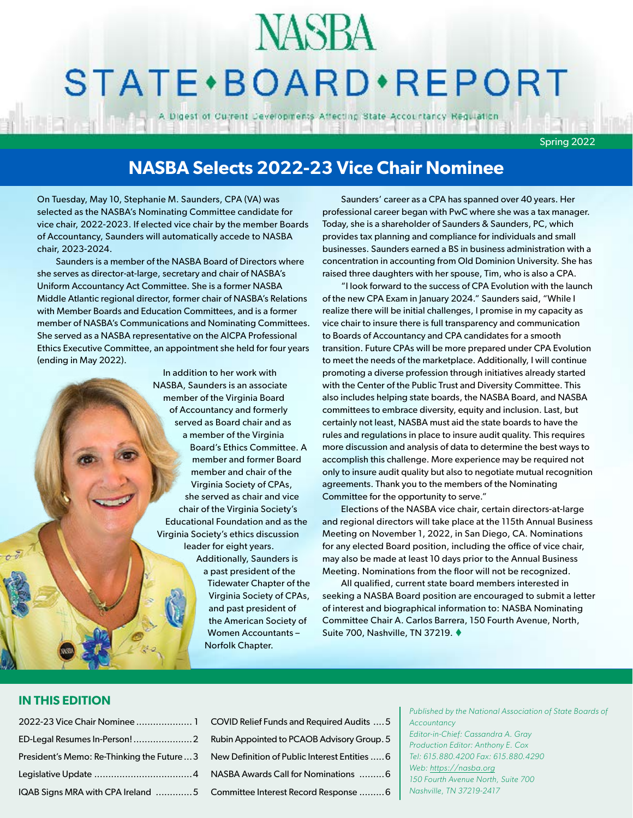## **NASBA**

## STATE · BOARD · REPORT

A Digest of Current Developments Affecting State Accountancy Regulation

Spring 2022

#### **NASBA Selects 2022-23 Vice Chair Nominee**

On Tuesday, May 10, Stephanie M. Saunders, CPA (VA) was selected as the NASBA's Nominating Committee candidate for vice chair, 2022-2023. If elected vice chair by the member Boards of Accountancy, Saunders will automatically accede to NASBA chair, 2023-2024.

Saunders is a member of the NASBA Board of Directors where she serves as director-at-large, secretary and chair of NASBA's Uniform Accountancy Act Committee. She is a former NASBA Middle Atlantic regional director, former chair of NASBA's Relations with Member Boards and Education Committees, and is a former member of NASBA's Communications and Nominating Committees. She served as a NASBA representative on the AICPA Professional Ethics Executive Committee, an appointment she held for four years (ending in May 2022).

> In addition to her work with NASBA, Saunders is an associate member of the Virginia Board of Accountancy and formerly served as Board chair and as a member of the Virginia Board's Ethics Committee. A member and former Board member and chair of the Virginia Society of CPAs, she served as chair and vice chair of the Virginia Society's Educational Foundation and as the Virginia Society's ethics discussion leader for eight years. Additionally, Saunders is a past president of the Tidewater Chapter of the

> > Virginia Society of CPAs, and past president of the American Society of Women Accountants – Norfolk Chapter.

Saunders' career as a CPA has spanned over 40 years. Her professional career began with PwC where she was a tax manager. Today, she is a shareholder of Saunders & Saunders, PC, which provides tax planning and compliance for individuals and small businesses. Saunders earned a BS in business administration with a concentration in accounting from Old Dominion University. She has raised three daughters with her spouse, Tim, who is also a CPA.

"I look forward to the success of CPA Evolution with the launch of the new CPA Exam in January 2024." Saunders said, "While I realize there will be initial challenges, I promise in my capacity as vice chair to insure there is full transparency and communication to Boards of Accountancy and CPA candidates for a smooth transition. Future CPAs will be more prepared under CPA Evolution to meet the needs of the marketplace. Additionally, I will continue promoting a diverse profession through initiatives already started with the Center of the Public Trust and Diversity Committee. This also includes helping state boards, the NASBA Board, and NASBA committees to embrace diversity, equity and inclusion. Last, but certainly not least, NASBA must aid the state boards to have the rules and regulations in place to insure audit quality. This requires more discussion and analysis of data to determine the best ways to accomplish this challenge. More experience may be required not only to insure audit quality but also to negotiate mutual recognition agreements. Thank you to the members of the Nominating Committee for the opportunity to serve."

Elections of the NASBA vice chair, certain directors-at-large and regional directors will take place at the 115th Annual Business Meeting on November 1, 2022, in San Diego, CA. Nominations for any elected Board position, including the office of vice chair, may also be made at least 10 days prior to the Annual Business Meeting. Nominations from the floor will not be recognized.

All qualified, current state board members interested in seeking a NASBA Board position are encouraged to submit a letter of interest and biographical information to: NASBA Nominating Committee Chair A. Carlos Barrera, 150 Fourth Avenue, North, Suite 700, Nashville, TN 37219. ♦

#### **IN THIS EDITION**

| 2022-23 Vice Chair Nominee  1 COV               |  |
|-------------------------------------------------|--|
|                                                 |  |
| President's Memo: Re-Thinking the Future  3 New |  |
|                                                 |  |
| IQAB Signs MRA with CPA Ireland 5 Com           |  |

| COVID Relief Funds and Required Audits  5     |
|-----------------------------------------------|
| Rubin Appointed to PCAOB Advisory Group. 5    |
| New Definition of Public Interest Entities  6 |
| NASBA Awards Call for Nominations 6           |
| Committee Interest Record Response 6          |

*Published by the National Association of State Boards of Accountancy Editor-in-Chief: Cassandra A. Gray Production Editor: Anthony E. Cox Tel: 615.880.4200 Fax: 615.880.4290 Web: https://nasba.org 150 Fourth Avenue North, Suite 700 Nashville, TN 37219-2417*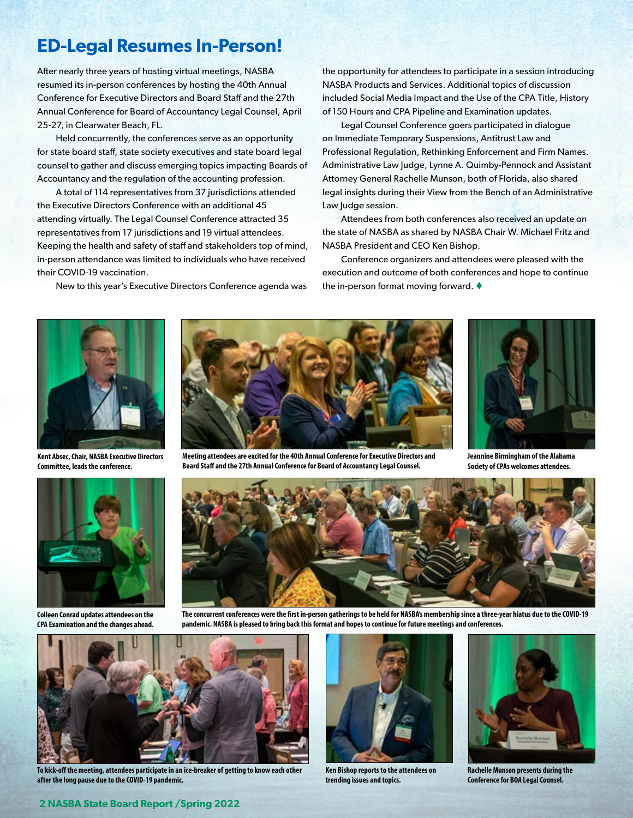#### <span id="page-1-0"></span>**ED-Legal Resumes In-Person!**

After nearly three years of hosting virtual meetings, NASBA resumed its in-person conferences by hosting the 40th Annual Conference for Executive Directors and Board Staff and the 27th Annual Conference for Board of Accountancy Legal Counsel, April 25-27, in Clearwater Beach, FL.

Held concurrently, the conferences serve as an opportunity for state board staff, state society executives and state board legal counsel to gather and discuss emerging topics impacting Boards of Accountancy and the regulation of the accounting profession.

A total of 114 representatives from 37 jurisdictions attended the Executive Directors Conference with an additional 45 attending virtually. The Legal Counsel Conference attracted 35 representatives from 17 jurisdictions and 19 virtual attendees. Keeping the health and safety of staff and stakeholders top of mind, in-person attendance was limited to individuals who have received their COVID-19 vaccination.

New to this year's Executive Directors Conference agenda was

the opportunity for attendees to participate in a session introducing NASBA Products and Services. Additional topics of discussion included Social Media Impact and the Use of the CPA Title, History of 150 Hours and CPA Pipeline and Examination updates.

Legal Counsel Conference goers participated in dialogue on Immediate Temporary Suspensions, Antitrust Law and Professional Regulation, Rethinking Enforcement and Firm Names. Administrative Law Judge, Lynne A. Quimby-Pennock and Assistant Attorney General Rachelle Munson, both of Florida, also shared legal insights during their View from the Bench of an Administrative Law Judge session.

Attendees from both conferences also received an update on the state of NASBA as shared by NASBA Chair W. Michael Fritz and NASBA President and CEO Ken Bishop.

Conference organizers and attendees were pleased with the execution and outcome of both conferences and hope to continue the in-person format moving forward.  $\blacklozenge$ 



**Kent Absec, Chair, NASBA Executive Directors Committee, leads the conference.**



**Colleen Conrad updates attendees on the CPA Examination and the changes ahead.**



**Meeting attendees are excited for the 40th Annual Conference for Executive Directors and Board Staff and the 27th Annual Conference for Board of Accountancy Legal Counsel.**



**Jeannine Birmingham of the Alabama Society of CPAs welcomes attendees.**



**The concurrent conferences were the first in-person gatherings to be held for NASBA's membership since a three-year hiatus due to the COVID-19 pandemic. NASBA is pleased to bring back this format and hopes to continue for future meetings and conferences.**



**To kick-off the meeting, attendees participate in an ice-breaker of getting to know each other after the long pause due to the COVID-19 pandemic.** 



**Ken Bishop reports to the attendees on trending issues and topics.** 



**Rachelle Munson presents during the Conference for BOA Legal Counsel.**

#### **2 NASBA State Board Report /Spring 2022**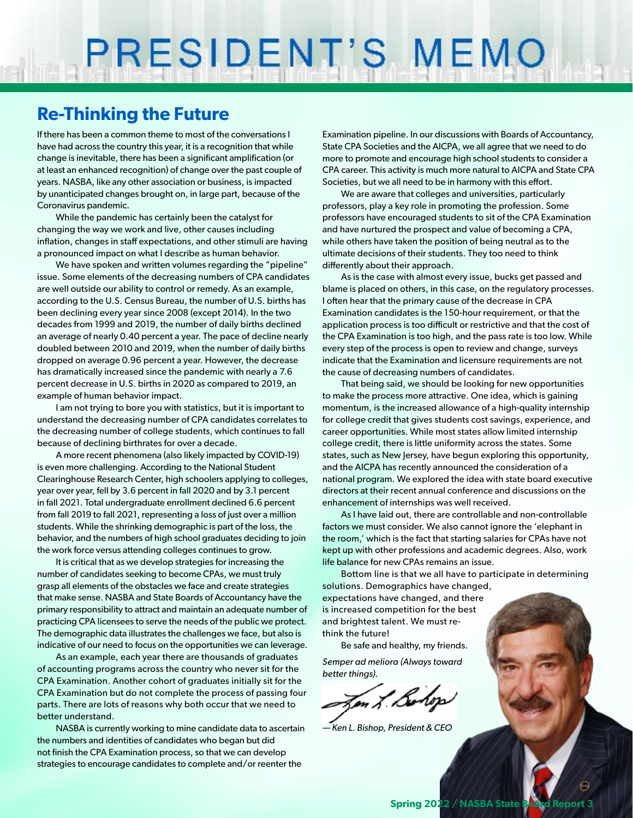# PRESIDENT'S MEMO

#### **Re-Thinking the Future**

If there has been a common theme to most of the conversations I have had across the country this year, it is a recognition that while change is inevitable, there has been a significant amplification (or at least an enhanced recognition) of change over the past couple of years. NASBA, like any other association or business, is impacted by unanticipated changes brought on, in large part, because of the Coronavirus pandemic.

While the pandemic has certainly been the catalyst for changing the way we work and live, other causes including inflation, changes in staff expectations, and other stimuli are having a pronounced impact on what I describe as human behavior.

We have spoken and written volumes regarding the "pipeline" issue. Some elements of the decreasing numbers of CPA candidates are well outside our ability to control or remedy. As an example, according to the U.S. Census Bureau, the number of U.S. births has been declining every year since 2008 (except 2014). In the two decades from 1999 and 2019, the number of daily births declined an average of nearly 0.40 percent a year. The pace of decline nearly doubled between 2010 and 2019, when the number of daily births dropped on average 0.96 percent a year. However, the decrease has dramatically increased since the pandemic with nearly a 7.6 percent decrease in U.S. births in 2020 as compared to 2019, an example of human behavior impact.

I am not trying to bore you with statistics, but it is important to understand the decreasing number of CPA candidates correlates to the decreasing number of college students, which continues to fall because of declining birthrates for over a decade.

A more recent phenomena (also likely impacted by COVID-19) is even more challenging. According to the National Student Clearinghouse Research Center, high schoolers applying to colleges, year over year, fell by 3.6 percent in fall 2020 and by 3.1 percent in fall 2021. Total undergraduate enrollment declined 6.6 percent from fall 2019 to fall 2021, representing a loss of just over a million students. While the shrinking demographic is part of the loss, the behavior, and the numbers of high school graduates deciding to join the work force versus attending colleges continues to grow.

It is critical that as we develop strategies for increasing the number of candidates seeking to become CPAs, we must truly grasp all elements of the obstacles we face and create strategies that make sense. NASBA and State Boards of Accountancy have the primary responsibility to attract and maintain an adequate number of practicing CPA licensees to serve the needs of the public we protect. The demographic data illustrates the challenges we face, but also is indicative of our need to focus on the opportunities we can leverage.

As an example, each year there are thousands of graduates of accounting programs across the country who never sit for the CPA Examination. Another cohort of graduates initially sit for the CPA Examination but do not complete the process of passing four parts. There are lots of reasons why both occur that we need to better understand.

NASBA is currently working to mine candidate data to ascertain the numbers and identities of candidates who began but did not finish the CPA Examination process, so that we can develop strategies to encourage candidates to complete and/or reenter the

Examination pipeline. In our discussions with Boards of Accountancy, State CPA Societies and the AICPA, we all agree that we need to do more to promote and encourage high school students to consider a CPA career. This activity is much more natural to AICPA and State CPA Societies, but we all need to be in harmony with this effort.

We are aware that colleges and universities, particularly professors, play a key role in promoting the profession. Some professors have encouraged students to sit of the CPA Examination and have nurtured the prospect and value of becoming a CPA, while others have taken the position of being neutral as to the ultimate decisions of their students. They too need to think differently about their approach.

As is the case with almost every issue, bucks get passed and blame is placed on others, in this case, on the regulatory processes. I often hear that the primary cause of the decrease in CPA Examination candidates is the 150-hour requirement, or that the application process is too difficult or restrictive and that the cost of the CPA Examination is too high, and the pass rate is too low. While every step of the process is open to review and change, surveys indicate that the Examination and licensure requirements are not the cause of decreasing numbers of candidates.

That being said, we should be looking for new opportunities to make the process more attractive. One idea, which is gaining momentum, is the increased allowance of a high-quality internship for college credit that gives students cost savings, experience, and career opportunities. While most states allow limited internship college credit, there is little uniformity across the states. Some states, such as New Jersey, have begun exploring this opportunity, and the AICPA has recently announced the consideration of a national program. We explored the idea with state board executive directors at their recent annual conference and discussions on the enhancement of internships was well received.

As I have laid out, there are controllable and non-controllable factors we must consider. We also cannot ignore the 'elephant in the room,' which is the fact that starting salaries for CPAs have not kept up with other professions and academic degrees. Also, work life balance for new CPAs remains an issue.

Bottom line is that we all have to participate in determining solutions. Demographics have changed,

expectations have changed, and there is increased competition for the best and brightest talent. We must rethink the future!

Be safe and healthy, my friends.

*Semper ad meliora (Always toward better things).*

on L. Bolop

*— Ken L. Bishop, President & CEO*

Ö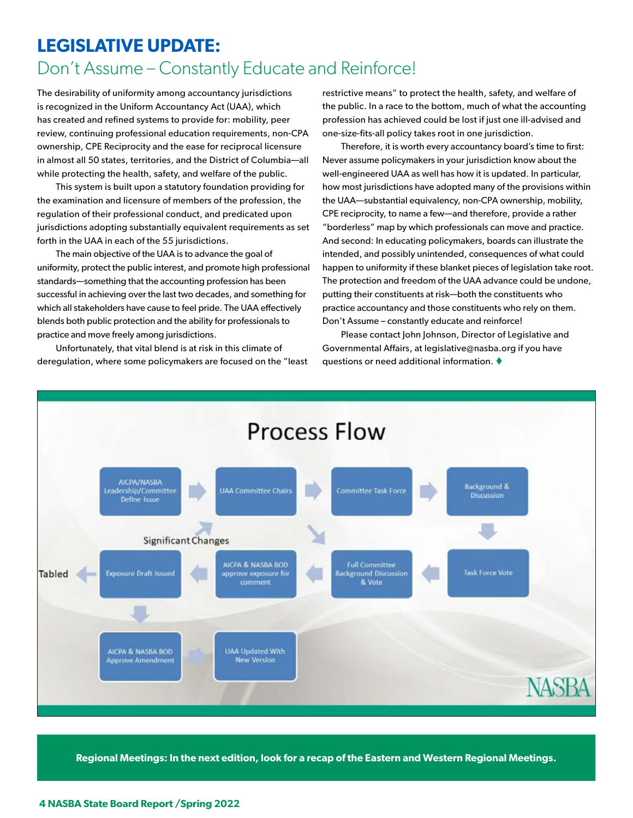### <span id="page-3-0"></span>**LEGISLATIVE UPDATE:** Don't Assume – Constantly Educate and Reinforce!

The desirability of uniformity among accountancy jurisdictions is recognized in the Uniform Accountancy Act (UAA), which has created and refined systems to provide for: mobility, peer review, continuing professional education requirements, non-CPA ownership, CPE Reciprocity and the ease for reciprocal licensure in almost all 50 states, territories, and the District of Columbia—all while protecting the health, safety, and welfare of the public.

This system is built upon a statutory foundation providing for the examination and licensure of members of the profession, the regulation of their professional conduct, and predicated upon jurisdictions adopting substantially equivalent requirements as set forth in the UAA in each of the 55 jurisdictions.

The main objective of the UAA is to advance the goal of uniformity, protect the public interest, and promote high professional standards—something that the accounting profession has been successful in achieving over the last two decades, and something for which all stakeholders have cause to feel pride. The UAA effectively blends both public protection and the ability for professionals to practice and move freely among jurisdictions.

Unfortunately, that vital blend is at risk in this climate of deregulation, where some policymakers are focused on the "least restrictive means" to protect the health, safety, and welfare of the public. In a race to the bottom, much of what the accounting profession has achieved could be lost if just one ill-advised and one-size-fits-all policy takes root in one jurisdiction.

Therefore, it is worth every accountancy board's time to first: Never assume policymakers in your jurisdiction know about the well-engineered UAA as well has how it is updated. In particular, how most jurisdictions have adopted many of the provisions within the UAA—substantial equivalency, non-CPA ownership, mobility, CPE reciprocity, to name a few—and therefore, provide a rather "borderless" map by which professionals can move and practice. And second: In educating policymakers, boards can illustrate the intended, and possibly unintended, consequences of what could happen to uniformity if these blanket pieces of legislation take root. The protection and freedom of the UAA advance could be undone, putting their constituents at risk—both the constituents who practice accountancy and those constituents who rely on them. Don't Assume – constantly educate and reinforce!

Please contact John Johnson, Director of Legislative and Governmental Affairs, at legislative@nasba.org if you have questions or need additional information.  $\blacklozenge$ 



**Regional Meetings: In the next edition, look for a recap of the Eastern and Western Regional Meetings.**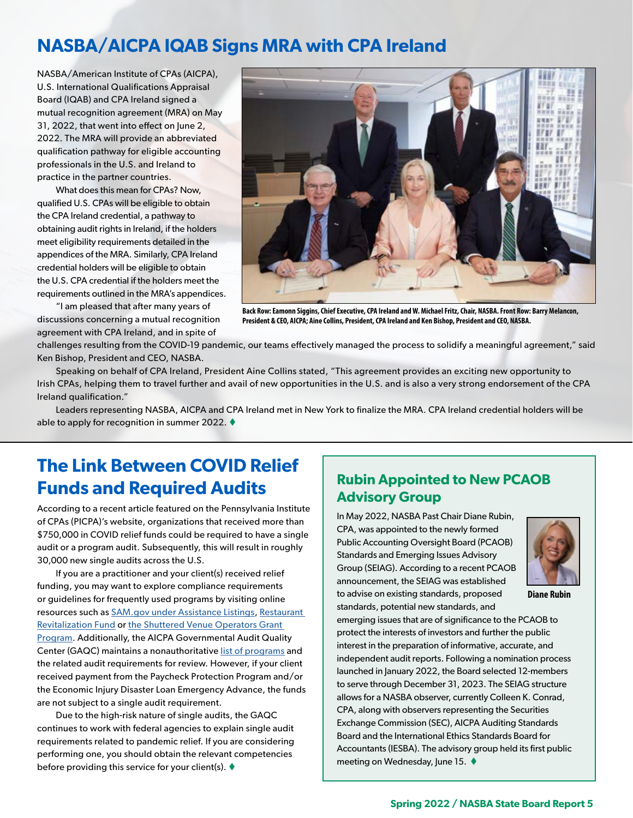#### <span id="page-4-0"></span>**NASBA/AICPA IQAB Signs MRA with CPA Ireland**

NASBA/American Institute of CPAs (AICPA), U.S. International Qualifications Appraisal Board (IQAB) and CPA Ireland signed a mutual recognition agreement (MRA) on May 31, 2022, that went into effect on June 2, 2022. The MRA will provide an abbreviated qualification pathway for eligible accounting professionals in the U.S. and Ireland to practice in the partner countries.

What does this mean for CPAs? Now, qualified U.S. CPAs will be eligible to obtain the CPA Ireland credential, a pathway to obtaining audit rights in Ireland, if the holders meet eligibility requirements detailed in the appendices of the MRA. Similarly, CPA Ireland credential holders will be eligible to obtain the U.S. CPA credential if the holders meet the requirements outlined in the MRA's appendices.

"I am pleased that after many years of discussions concerning a mutual recognition agreement with CPA Ireland, and in spite of



**Back Row: Eamonn Siggins, Chief Executive, CPA Ireland and W. Michael Fritz, Chair, NASBA. Front Row: Barry Melancon, President & CEO, AICPA; Aine Collins, President, CPA Ireland and Ken Bishop, President and CEO, NASBA.**

challenges resulting from the COVID-19 pandemic, our teams effectively managed the process to solidify a meaningful agreement," said Ken Bishop, President and CEO, NASBA.

Speaking on behalf of CPA Ireland, President Aine Collins stated, "This agreement provides an exciting new opportunity to Irish CPAs, helping them to travel further and avail of new opportunities in the U.S. and is also a very strong endorsement of the CPA Ireland qualification."

Leaders representing NASBA, AICPA and CPA Ireland met in New York to finalize the MRA. CPA Ireland credential holders will be able to apply for recognition in summer 2022.  $\blacklozenge$ 

#### **The Link Between COVID Relief Funds and Required Audits Rubin Appointed to New PCAOB**

According to a recent article featured on the Pennsylvania Institute of CPAs (PICPA)'s website, organizations that received more than \$750,000 in COVID relief funds could be required to have a single audit or a program audit. Subsequently, this will result in roughly 30,000 new single audits across the U.S.

If you are a practitioner and your client(s) received relief funding, you may want to explore compliance requirements or guidelines for frequently used programs by visiting online resources such as [SAM.gov under Assistance Listings](https://sam.gov/content/assistance-listings), [Restaurant](https://sam.gov/fal/4b72206335b64114a9899f3394002eea/view)  [Revitalization Fund](https://sam.gov/fal/4b72206335b64114a9899f3394002eea/view) or [the Shuttered Venue Operators Grant](https://sam.gov/fal/2f6ca4c940c3475dae40e56dbaf7b2e1/view)  [Program](https://sam.gov/fal/2f6ca4c940c3475dae40e56dbaf7b2e1/view). Additionally, the AICPA Governmental Audit Quality Center (GAQC) maintains a nonauthoritative [list of programs](https://www.aicpa.org/resources/download/gaqc-summary-of-ug-applicability-for-new-covid-19-related-programs) and the related audit requirements for review. However, if your client received payment from the Paycheck Protection Program and/or the Economic Injury Disaster Loan Emergency Advance, the funds are not subject to a single audit requirement.

Due to the high-risk nature of single audits, the GAQC continues to work with federal agencies to explain single audit requirements related to pandemic relief. If you are considering performing one, you should obtain the relevant competencies before providing this service for your client(s).  $\blacklozenge$ 

### **Advisory Group**

In May 2022, NASBA Past Chair Diane Rubin, CPA, was appointed to the newly formed Public Accounting Oversight Board (PCAOB) Standards and Emerging Issues Advisory Group (SEIAG). According to a recent PCAOB announcement, the SEIAG was established to advise on existing standards, proposed standards, potential new standards, and



**Diane Rubin**

emerging issues that are of significance to the PCAOB to protect the interests of investors and further the public interest in the preparation of informative, accurate, and independent audit reports. Following a nomination process launched in January 2022, the Board selected 12-members to serve through December 31, 2023. The SEIAG structure allows for a NASBA observer, currently Colleen K. Conrad, CPA, along with observers representing the Securities Exchange Commission (SEC), AICPA Auditing Standards Board and the International Ethics Standards Board for Accountants (IESBA). The advisory group held its first public meeting on Wednesday, June 15. ♦